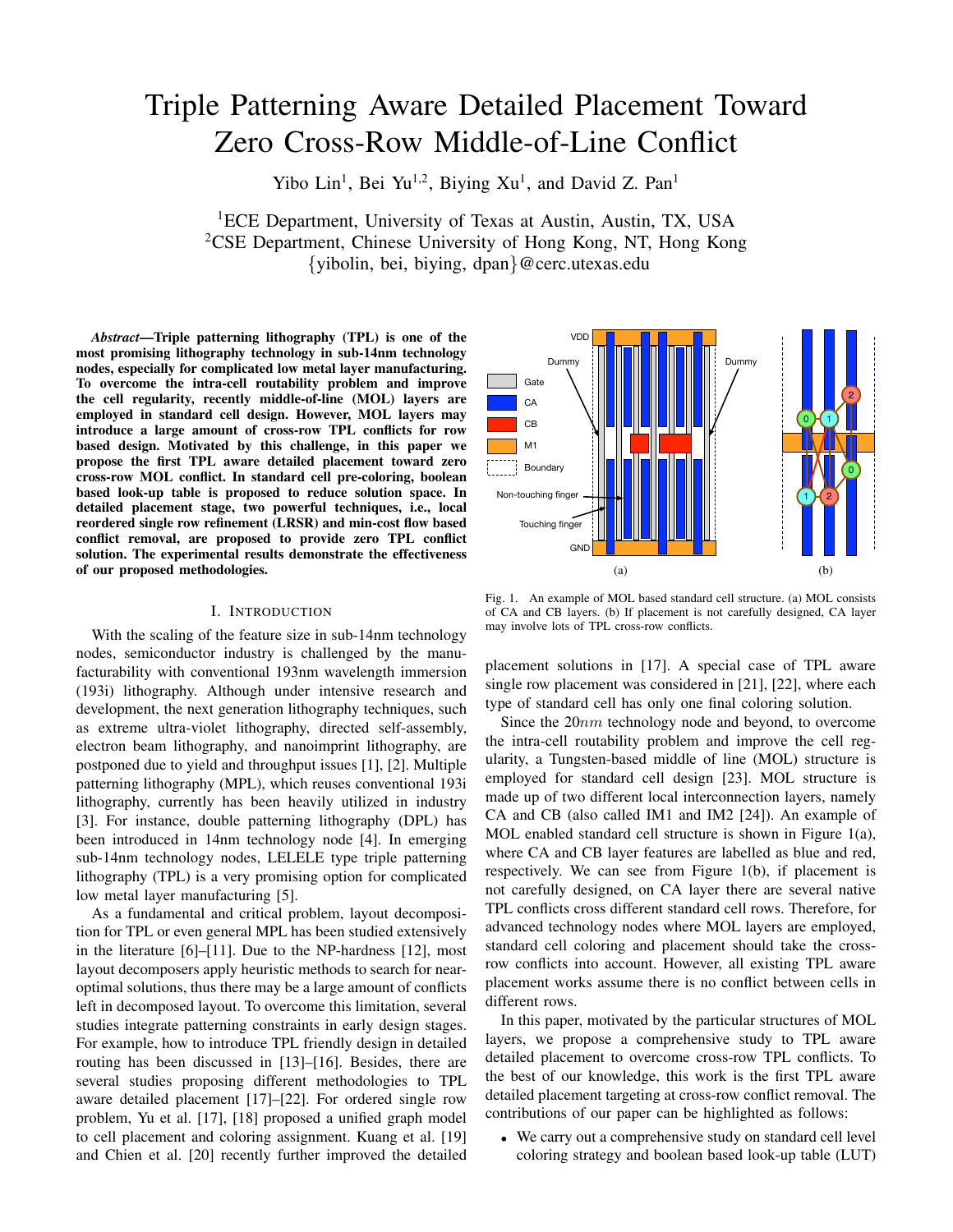# Triple Patterning Aware Detailed Placement Toward Zero Cross-Row Middle-of-Line Conflict

Yibo Lin<sup>1</sup>, Bei Yu<sup>1,2</sup>, Biying Xu<sup>1</sup>, and David Z. Pan<sup>1</sup>

<sup>1</sup>ECE Department, University of Texas at Austin, Austin, TX, USA <sup>2</sup>CSE Department, Chinese University of Hong Kong, NT, Hong Kong {yibolin, bei, biying, dpan}@cerc.utexas.edu

*Abstract*—Triple patterning lithography (TPL) is one of the most promising lithography technology in sub-14nm technology nodes, especially for complicated low metal layer manufacturing. To overcome the intra-cell routability problem and improve the cell regularity, recently middle-of-line (MOL) layers are employed in standard cell design. However, MOL layers may introduce a large amount of cross-row TPL conflicts for row based design. Motivated by this challenge, in this paper we propose the first TPL aware detailed placement toward zero cross-row MOL conflict. In standard cell pre-coloring, boolean based look-up table is proposed to reduce solution space. In detailed placement stage, two powerful techniques, i.e., local reordered single row refinement (LRSR) and min-cost flow based conflict removal, are proposed to provide zero TPL conflict solution. The experimental results demonstrate the effectiveness of our proposed methodologies.

## I. INTRODUCTION

With the scaling of the feature size in sub-14nm technology nodes, semiconductor industry is challenged by the manufacturability with conventional 193nm wavelength immersion (193i) lithography. Although under intensive research and development, the next generation lithography techniques, such as extreme ultra-violet lithography, directed self-assembly, electron beam lithography, and nanoimprint lithography, are postponed due to yield and throughput issues [1], [2]. Multiple patterning lithography (MPL), which reuses conventional 193i lithography, currently has been heavily utilized in industry [3]. For instance, double patterning lithography (DPL) has been introduced in 14nm technology node [4]. In emerging sub-14nm technology nodes, LELELE type triple patterning lithography (TPL) is a very promising option for complicated low metal layer manufacturing [5].

As a fundamental and critical problem, layout decomposition for TPL or even general MPL has been studied extensively in the literature [6]–[11]. Due to the NP-hardness [12], most layout decomposers apply heuristic methods to search for nearoptimal solutions, thus there may be a large amount of conflicts left in decomposed layout. To overcome this limitation, several studies integrate patterning constraints in early design stages. For example, how to introduce TPL friendly design in detailed routing has been discussed in [13]–[16]. Besides, there are several studies proposing different methodologies to TPL aware detailed placement [17]–[22]. For ordered single row problem, Yu et al. [17], [18] proposed a unified graph model to cell placement and coloring assignment. Kuang et al. [19] and Chien et al. [20] recently further improved the detailed



Fig. 1. An example of MOL based standard cell structure. (a) MOL consists of CA and CB layers. (b) If placement is not carefully designed, CA layer may involve lots of TPL cross-row conflicts.

placement solutions in [17]. A special case of TPL aware single row placement was considered in [21], [22], where each type of standard cell has only one final coloring solution.

Since the 20nm technology node and beyond, to overcome the intra-cell routability problem and improve the cell regularity, a Tungsten-based middle of line (MOL) structure is employed for standard cell design [23]. MOL structure is made up of two different local interconnection layers, namely CA and CB (also called IM1 and IM2 [24]). An example of MOL enabled standard cell structure is shown in Figure 1(a), where CA and CB layer features are labelled as blue and red, respectively. We can see from Figure 1(b), if placement is not carefully designed, on CA layer there are several native TPL conflicts cross different standard cell rows. Therefore, for advanced technology nodes where MOL layers are employed, standard cell coloring and placement should take the crossrow conflicts into account. However, all existing TPL aware placement works assume there is no conflict between cells in different rows.

In this paper, motivated by the particular structures of MOL layers, we propose a comprehensive study to TPL aware detailed placement to overcome cross-row TPL conflicts. To the best of our knowledge, this work is the first TPL aware detailed placement targeting at cross-row conflict removal. The contributions of our paper can be highlighted as follows:

• We carry out a comprehensive study on standard cell level coloring strategy and boolean based look-up table (LUT)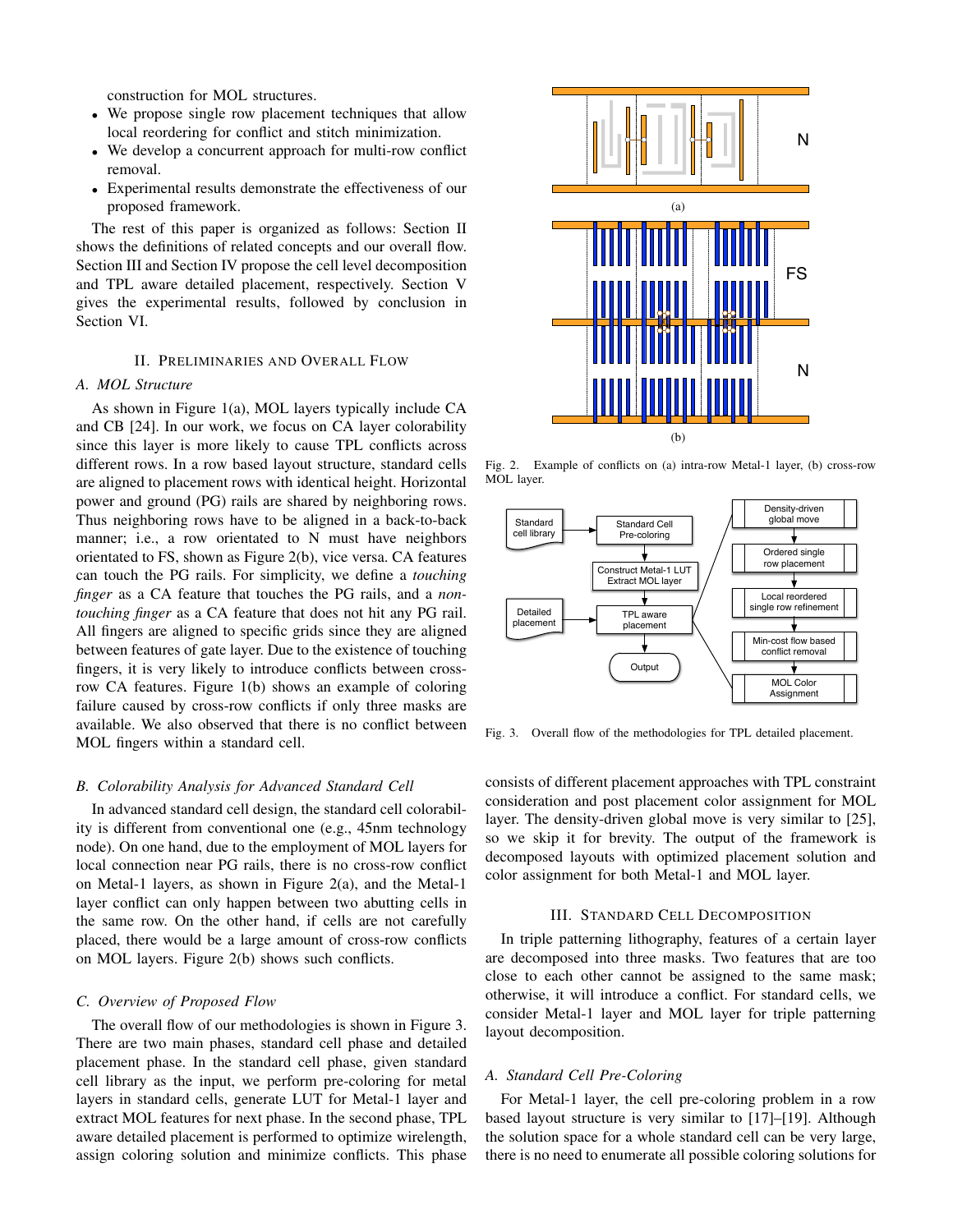construction for MOL structures.

- We propose single row placement techniques that allow local reordering for conflict and stitch minimization.
- We develop a concurrent approach for multi-row conflict removal.
- Experimental results demonstrate the effectiveness of our proposed framework.

The rest of this paper is organized as follows: Section II shows the definitions of related concepts and our overall flow. Section III and Section IV propose the cell level decomposition and TPL aware detailed placement, respectively. Section V gives the experimental results, followed by conclusion in Section VI.

## II. PRELIMINARIES AND OVERALL FLOW

# *A. MOL Structure*

As shown in Figure 1(a), MOL layers typically include CA and CB [24]. In our work, we focus on CA layer colorability since this layer is more likely to cause TPL conflicts across different rows. In a row based layout structure, standard cells are aligned to placement rows with identical height. Horizontal power and ground (PG) rails are shared by neighboring rows. Thus neighboring rows have to be aligned in a back-to-back manner; i.e., a row orientated to N must have neighbors orientated to FS, shown as Figure 2(b), vice versa. CA features can touch the PG rails. For simplicity, we define a *touching finger* as a CA feature that touches the PG rails, and a *nontouching finger* as a CA feature that does not hit any PG rail. All fingers are aligned to specific grids since they are aligned between features of gate layer. Due to the existence of touching fingers, it is very likely to introduce conflicts between crossrow CA features. Figure 1(b) shows an example of coloring failure caused by cross-row conflicts if only three masks are available. We also observed that there is no conflict between MOL fingers within a standard cell.

## *B. Colorability Analysis for Advanced Standard Cell*

In advanced standard cell design, the standard cell colorability is different from conventional one (e.g., 45nm technology node). On one hand, due to the employment of MOL layers for local connection near PG rails, there is no cross-row conflict on Metal-1 layers, as shown in Figure 2(a), and the Metal-1 layer conflict can only happen between two abutting cells in the same row. On the other hand, if cells are not carefully placed, there would be a large amount of cross-row conflicts on MOL layers. Figure 2(b) shows such conflicts.

# *C. Overview of Proposed Flow*

The overall flow of our methodologies is shown in Figure 3. There are two main phases, standard cell phase and detailed placement phase. In the standard cell phase, given standard cell library as the input, we perform pre-coloring for metal layers in standard cells, generate LUT for Metal-1 layer and extract MOL features for next phase. In the second phase, TPL aware detailed placement is performed to optimize wirelength, assign coloring solution and minimize conflicts. This phase



Fig. 2. Example of conflicts on (a) intra-row Metal-1 layer, (b) cross-row MOL layer.



Fig. 3. Overall flow of the methodologies for TPL detailed placement.

consists of different placement approaches with TPL constraint consideration and post placement color assignment for MOL layer. The density-driven global move is very similar to [25], so we skip it for brevity. The output of the framework is decomposed layouts with optimized placement solution and color assignment for both Metal-1 and MOL layer.

## III. STANDARD CELL DECOMPOSITION

In triple patterning lithography, features of a certain layer are decomposed into three masks. Two features that are too close to each other cannot be assigned to the same mask; otherwise, it will introduce a conflict. For standard cells, we consider Metal-1 layer and MOL layer for triple patterning layout decomposition.

## *A. Standard Cell Pre-Coloring*

For Metal-1 layer, the cell pre-coloring problem in a row based layout structure is very similar to [17]–[19]. Although the solution space for a whole standard cell can be very large, there is no need to enumerate all possible coloring solutions for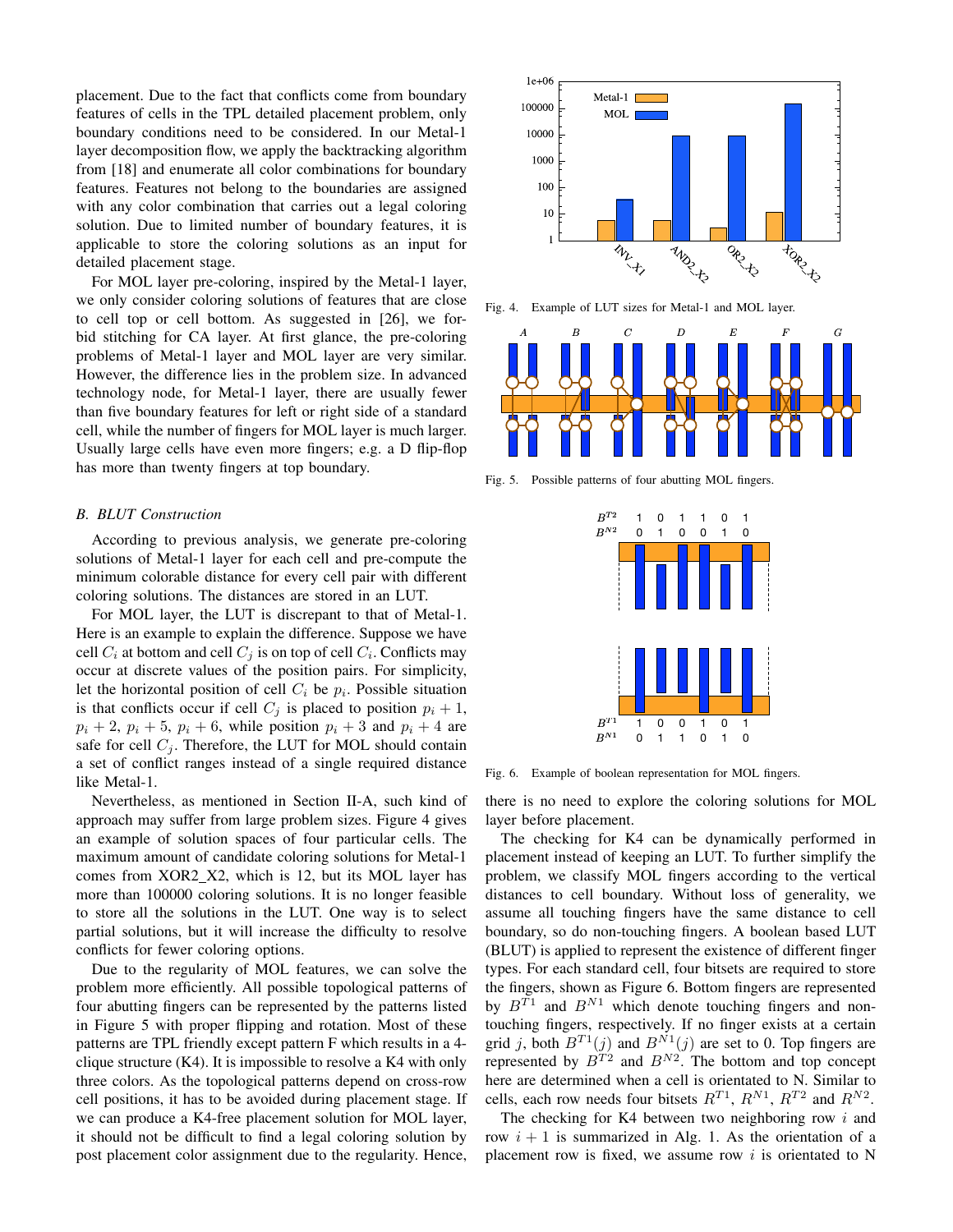placement. Due to the fact that conflicts come from boundary features of cells in the TPL detailed placement problem, only boundary conditions need to be considered. In our Metal-1 layer decomposition flow, we apply the backtracking algorithm from [18] and enumerate all color combinations for boundary features. Features not belong to the boundaries are assigned with any color combination that carries out a legal coloring solution. Due to limited number of boundary features, it is applicable to store the coloring solutions as an input for detailed placement stage.

For MOL layer pre-coloring, inspired by the Metal-1 layer, we only consider coloring solutions of features that are close to cell top or cell bottom. As suggested in [26], we forbid stitching for CA layer. At first glance, the pre-coloring problems of Metal-1 layer and MOL layer are very similar. However, the difference lies in the problem size. In advanced technology node, for Metal-1 layer, there are usually fewer than five boundary features for left or right side of a standard cell, while the number of fingers for MOL layer is much larger. Usually large cells have even more fingers; e.g. a D flip-flop has more than twenty fingers at top boundary.

# *B. BLUT Construction*

According to previous analysis, we generate pre-coloring solutions of Metal-1 layer for each cell and pre-compute the minimum colorable distance for every cell pair with different coloring solutions. The distances are stored in an LUT.

For MOL layer, the LUT is discrepant to that of Metal-1. Here is an example to explain the difference. Suppose we have cell  $C_i$  at bottom and cell  $C_j$  is on top of cell  $C_i$ . Conflicts may occur at discrete values of the position pairs. For simplicity, let the horizontal position of cell  $C_i$  be  $p_i$ . Possible situation is that conflicts occur if cell  $C_j$  is placed to position  $p_i + 1$ ,  $p_i + 2$ ,  $p_i + 5$ ,  $p_i + 6$ , while position  $p_i + 3$  and  $p_i + 4$  are safe for cell  $C_j$ . Therefore, the LUT for MOL should contain a set of conflict ranges instead of a single required distance like Metal-1.

Nevertheless, as mentioned in Section II-A, such kind of approach may suffer from large problem sizes. Figure 4 gives an example of solution spaces of four particular cells. The maximum amount of candidate coloring solutions for Metal-1 comes from XOR2\_X2, which is 12, but its MOL layer has more than 100000 coloring solutions. It is no longer feasible to store all the solutions in the LUT. One way is to select partial solutions, but it will increase the difficulty to resolve conflicts for fewer coloring options.

Due to the regularity of MOL features, we can solve the problem more efficiently. All possible topological patterns of four abutting fingers can be represented by the patterns listed in Figure 5 with proper flipping and rotation. Most of these patterns are TPL friendly except pattern F which results in a 4 clique structure (K4). It is impossible to resolve a K4 with only three colors. As the topological patterns depend on cross-row cell positions, it has to be avoided during placement stage. If we can produce a K4-free placement solution for MOL layer, it should not be difficult to find a legal coloring solution by post placement color assignment due to the regularity. Hence,



Fig. 4. Example of LUT sizes for Metal-1 and MOL layer.



Fig. 5. Possible patterns of four abutting MOL fingers.

| $\mathcal{B}^{T2} \\ \mathcal{B}^{N2}$   | 1<br>0 | 0<br>1 | 1<br>0 | 1<br>0 | 0<br>1 | 1<br>0 |   |
|------------------------------------------|--------|--------|--------|--------|--------|--------|---|
| 1<br>Ï                                   |        |        |        |        |        |        |   |
| $\vdots$<br>1                            |        |        |        |        |        |        | ï |
| I                                        |        |        |        |        |        |        |   |
|                                          | 1      | 0      | 0      | 1      | 0      | 1      |   |
| $\mathcal{B}^{T1}$<br>$\mathcal{B}^{N1}$ | 0      | 1      | 1      | 0      | 1      | 0      |   |

Fig. 6. Example of boolean representation for MOL fingers.

there is no need to explore the coloring solutions for MOL layer before placement.

The checking for K4 can be dynamically performed in placement instead of keeping an LUT. To further simplify the problem, we classify MOL fingers according to the vertical distances to cell boundary. Without loss of generality, we assume all touching fingers have the same distance to cell boundary, so do non-touching fingers. A boolean based LUT (BLUT) is applied to represent the existence of different finger types. For each standard cell, four bitsets are required to store the fingers, shown as Figure 6. Bottom fingers are represented by  $B^{T1}$  and  $B^{N1}$  which denote touching fingers and nontouching fingers, respectively. If no finger exists at a certain grid j, both  $B^{T_1}(j)$  and  $B^{N_1}(j)$  are set to 0. Top fingers are represented by  $B^{T2}$  and  $B^{N2}$ . The bottom and top concept here are determined when a cell is orientated to N. Similar to cells, each row needs four bitsets  $R^{T1}$ ,  $R^{N1}$ ,  $R^{T2}$  and  $R^{N2}$ .

The checking for K4 between two neighboring row  $i$  and row  $i + 1$  is summarized in Alg. 1. As the orientation of a placement row is fixed, we assume row  $i$  is orientated to N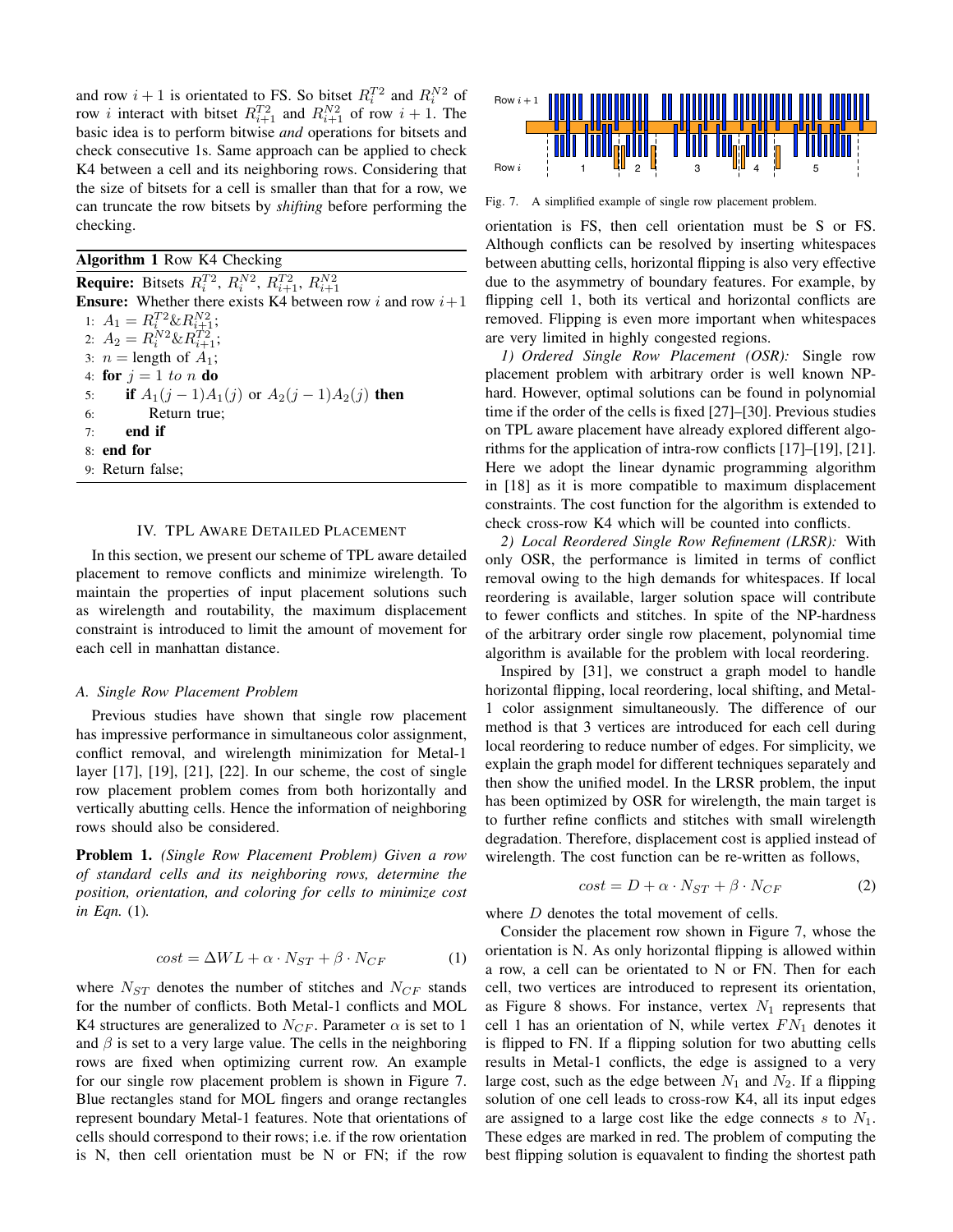and row  $i + 1$  is orientated to FS. So bitset  $R_i^{T2}$  and  $R_i^{N2}$  of row *i* interact with bitset  $R_{i+1}^{T2}$  and  $R_{i+1}^{N2}$  of row  $i + 1$ . The basic idea is to perform bitwise *and* operations for bitsets and check consecutive 1s. Same approach can be applied to check K4 between a cell and its neighboring rows. Considering that the size of bitsets for a cell is smaller than that for a row, we can truncate the row bitsets by *shifting* before performing the checking.

# Algorithm 1 Row K4 Checking

**Require:** Bitsets  $R_i^{T2}$ ,  $R_i^{N2}$ ,  $R_{i+1}^{T2}$ ,  $R_{i+1}^{N2}$ **Ensure:** Whether there exists K4 between row i and row  $i+1$ 1:  $A_1 = R_{i}^{T2} \& R_{i\pm 1}^{N2};$ 2:  $A_2 = R_i^{N2} \& R_{i+1}^{T2};$ 3:  $n =$  length of  $A_1$ ; 4: for  $j = 1$  to n do 5: **if**  $A_1(j-1)A_1(j)$  or  $A_2(j-1)A_2(j)$  then 6: Return true;  $7:$  end if 8: end for 9: Return false;

# IV. TPL AWARE DETAILED PLACEMENT

In this section, we present our scheme of TPL aware detailed placement to remove conflicts and minimize wirelength. To maintain the properties of input placement solutions such as wirelength and routability, the maximum displacement constraint is introduced to limit the amount of movement for each cell in manhattan distance.

## *A. Single Row Placement Problem*

Previous studies have shown that single row placement has impressive performance in simultaneous color assignment, conflict removal, and wirelength minimization for Metal-1 layer [17], [19], [21], [22]. In our scheme, the cost of single row placement problem comes from both horizontally and vertically abutting cells. Hence the information of neighboring rows should also be considered.

Problem 1. *(Single Row Placement Problem) Given a row of standard cells and its neighboring rows, determine the position, orientation, and coloring for cells to minimize cost in Eqn.* (1)*.*

$$
cost = \Delta WL + \alpha \cdot N_{ST} + \beta \cdot N_{CF}
$$
 (1)

where  $N_{ST}$  denotes the number of stitches and  $N_{CF}$  stands for the number of conflicts. Both Metal-1 conflicts and MOL K4 structures are generalized to  $N_{CF}$ . Parameter  $\alpha$  is set to 1 and  $\beta$  is set to a very large value. The cells in the neighboring rows are fixed when optimizing current row. An example for our single row placement problem is shown in Figure 7. Blue rectangles stand for MOL fingers and orange rectangles represent boundary Metal-1 features. Note that orientations of cells should correspond to their rows; i.e. if the row orientation is N, then cell orientation must be N or FN; if the row



Fig. 7. A simplified example of single row placement problem.

orientation is FS, then cell orientation must be S or FS. Although conflicts can be resolved by inserting whitespaces between abutting cells, horizontal flipping is also very effective due to the asymmetry of boundary features. For example, by flipping cell 1, both its vertical and horizontal conflicts are removed. Flipping is even more important when whitespaces are very limited in highly congested regions.

*1) Ordered Single Row Placement (OSR):* Single row placement problem with arbitrary order is well known NPhard. However, optimal solutions can be found in polynomial time if the order of the cells is fixed [27]–[30]. Previous studies on TPL aware placement have already explored different algorithms for the application of intra-row conflicts [17]–[19], [21]. Here we adopt the linear dynamic programming algorithm in [18] as it is more compatible to maximum displacement constraints. The cost function for the algorithm is extended to check cross-row K4 which will be counted into conflicts.

*2) Local Reordered Single Row Refinement (LRSR):* With only OSR, the performance is limited in terms of conflict removal owing to the high demands for whitespaces. If local reordering is available, larger solution space will contribute to fewer conflicts and stitches. In spite of the NP-hardness of the arbitrary order single row placement, polynomial time algorithm is available for the problem with local reordering.

Inspired by [31], we construct a graph model to handle horizontal flipping, local reordering, local shifting, and Metal-1 color assignment simultaneously. The difference of our method is that 3 vertices are introduced for each cell during local reordering to reduce number of edges. For simplicity, we explain the graph model for different techniques separately and then show the unified model. In the LRSR problem, the input has been optimized by OSR for wirelength, the main target is to further refine conflicts and stitches with small wirelength degradation. Therefore, displacement cost is applied instead of wirelength. The cost function can be re-written as follows,

$$
cost = D + \alpha \cdot N_{ST} + \beta \cdot N_{CF}
$$
 (2)

where  $D$  denotes the total movement of cells.

Consider the placement row shown in Figure 7, whose the orientation is N. As only horizontal flipping is allowed within a row, a cell can be orientated to N or FN. Then for each cell, two vertices are introduced to represent its orientation, as Figure 8 shows. For instance, vertex  $N_1$  represents that cell 1 has an orientation of N, while vertex  $FN_1$  denotes it is flipped to FN. If a flipping solution for two abutting cells results in Metal-1 conflicts, the edge is assigned to a very large cost, such as the edge between  $N_1$  and  $N_2$ . If a flipping solution of one cell leads to cross-row K4, all its input edges are assigned to a large cost like the edge connects  $s$  to  $N_1$ . These edges are marked in red. The problem of computing the best flipping solution is equavalent to finding the shortest path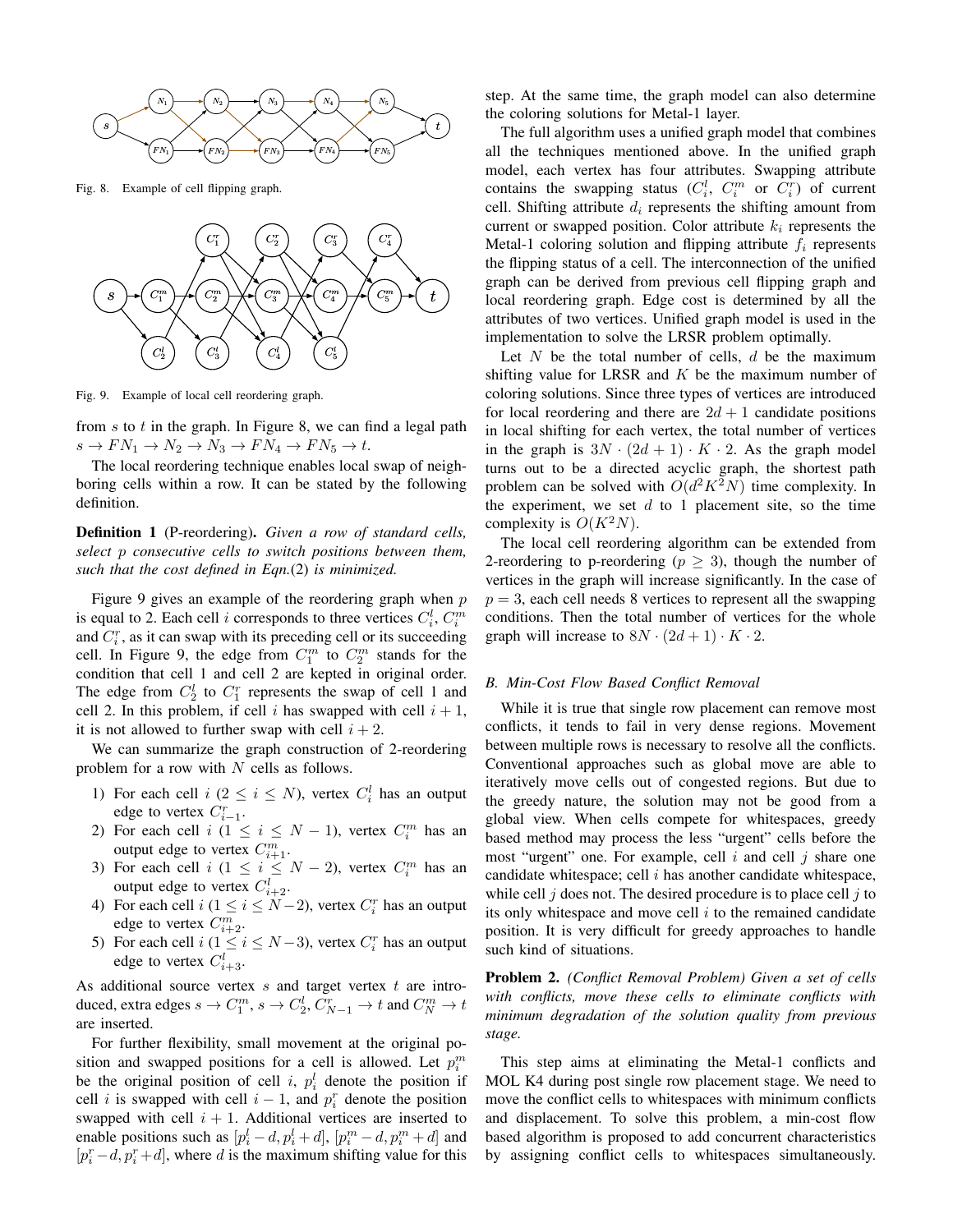

Fig. 8. Example of cell flipping graph.



Fig. 9. Example of local cell reordering graph.

from  $s$  to  $t$  in the graph. In Figure 8, we can find a legal path  $s \to FN_1 \to N_2 \to N_3 \to FN_4 \to FN_5 \to t.$ 

The local reordering technique enables local swap of neighboring cells within a row. It can be stated by the following definition.

Definition 1 (P-reordering). *Given a row of standard cells, select* p *consecutive cells to switch positions between them, such that the cost defined in Eqn.*(2) *is minimized.*

Figure 9 gives an example of the reordering graph when  $p$ is equal to 2. Each cell *i* corresponds to three vertices  $C_i^l$ ,  $C_i^m$ and  $C_i^r$ , as it can swap with its preceding cell or its succeeding cell. In Figure 9, the edge from  $C_1^m$  to  $C_2^m$  stands for the condition that cell 1 and cell 2 are kepted in original order. The edge from  $C_2^l$  to  $C_1^r$  represents the swap of cell 1 and cell 2. In this problem, if cell i has swapped with cell  $i + 1$ , it is not allowed to further swap with cell  $i + 2$ .

We can summarize the graph construction of 2-reordering problem for a row with  $N$  cells as follows.

- 1) For each cell  $i$  ( $2 \le i \le N$ ), vertex  $C_i^l$  has an output edge to vertex  $C_{i-1}^r$ .
- 2) For each cell  $i$  ( $1 \le i \le N-1$ ), vertex  $C_i^m$  has an For each central  $\binom{n}{i} \leq i \leq N-1$ , vertex  $C_i$ <br>output edge to vertex  $C_{i+1}^m$ .
- 3) For each cell  $i$  ( $1 \le i \le N-2$ ), vertex  $C_i^m$  has an output edge to vertex  $C_{i+2}^l$ .
- 4) For each cell  $i$  ( $1 \le i \le N-2$ ), vertex  $C_i^r$  has an output edge to vertex  $C_{i+2}^m$ .
- 5) For each cell  $i$  ( $1 \le i \le N-3$ ), vertex  $C_i^r$  has an output edge to vertex  $C_{i+3}^l$ .

As additional source vertex  $s$  and target vertex  $t$  are introduced, extra edges  $s \to C_1^m$ ,  $s \to C_2^l$ ,  $C_{N-1}^r \to t$  and  $C_N^m \to t$ are inserted.

For further flexibility, small movement at the original position and swapped positions for a cell is allowed. Let  $p_i^m$ be the original position of cell i,  $p_i^l$  denote the position if cell *i* is swapped with cell  $i - 1$ , and  $p_i^r$  denote the position swapped with cell  $i + 1$ . Additional vertices are inserted to enable positions such as  $[p_i^l - d, p_i^l + d]$ ,  $[p_i^m - d, p_i^m + d]$  and  $[p_i^r - d, p_i^r + d]$ , where d is the maximum shifting value for this step. At the same time, the graph model can also determine the coloring solutions for Metal-1 layer.

The full algorithm uses a unified graph model that combines all the techniques mentioned above. In the unified graph model, each vertex has four attributes. Swapping attribute contains the swapping status  $(C_i^l, C_i^m$  or  $C_i^r)$  of current cell. Shifting attribute  $d_i$  represents the shifting amount from current or swapped position. Color attribute  $k_i$  represents the Metal-1 coloring solution and flipping attribute  $f_i$  represents the flipping status of a cell. The interconnection of the unified graph can be derived from previous cell flipping graph and local reordering graph. Edge cost is determined by all the attributes of two vertices. Unified graph model is used in the implementation to solve the LRSR problem optimally.

Let  $N$  be the total number of cells,  $d$  be the maximum shifting value for LRSR and  $K$  be the maximum number of coloring solutions. Since three types of vertices are introduced for local reordering and there are  $2d + 1$  candidate positions in local shifting for each vertex, the total number of vertices in the graph is  $3N \cdot (2d+1) \cdot K \cdot 2$ . As the graph model turns out to be a directed acyclic graph, the shortest path problem can be solved with  $O(d^2K^2N)$  time complexity. In the experiment, we set  $d$  to 1 placement site, so the time complexity is  $O(K^2N)$ .

The local cell reordering algorithm can be extended from 2-reordering to p-reordering ( $p \geq 3$ ), though the number of vertices in the graph will increase significantly. In the case of  $p = 3$ , each cell needs 8 vertices to represent all the swapping conditions. Then the total number of vertices for the whole graph will increase to  $8N \cdot (2d+1) \cdot K \cdot 2$ .

## *B. Min-Cost Flow Based Conflict Removal*

While it is true that single row placement can remove most conflicts, it tends to fail in very dense regions. Movement between multiple rows is necessary to resolve all the conflicts. Conventional approaches such as global move are able to iteratively move cells out of congested regions. But due to the greedy nature, the solution may not be good from a global view. When cells compete for whitespaces, greedy based method may process the less "urgent" cells before the most "urgent" one. For example, cell  $i$  and cell  $j$  share one candidate whitespace; cell  $i$  has another candidate whitespace, while cell  $j$  does not. The desired procedure is to place cell  $j$  to its only whitespace and move cell  $i$  to the remained candidate position. It is very difficult for greedy approaches to handle such kind of situations.

Problem 2. *(Conflict Removal Problem) Given a set of cells with conflicts, move these cells to eliminate conflicts with minimum degradation of the solution quality from previous stage.*

This step aims at eliminating the Metal-1 conflicts and MOL K4 during post single row placement stage. We need to move the conflict cells to whitespaces with minimum conflicts and displacement. To solve this problem, a min-cost flow based algorithm is proposed to add concurrent characteristics by assigning conflict cells to whitespaces simultaneously.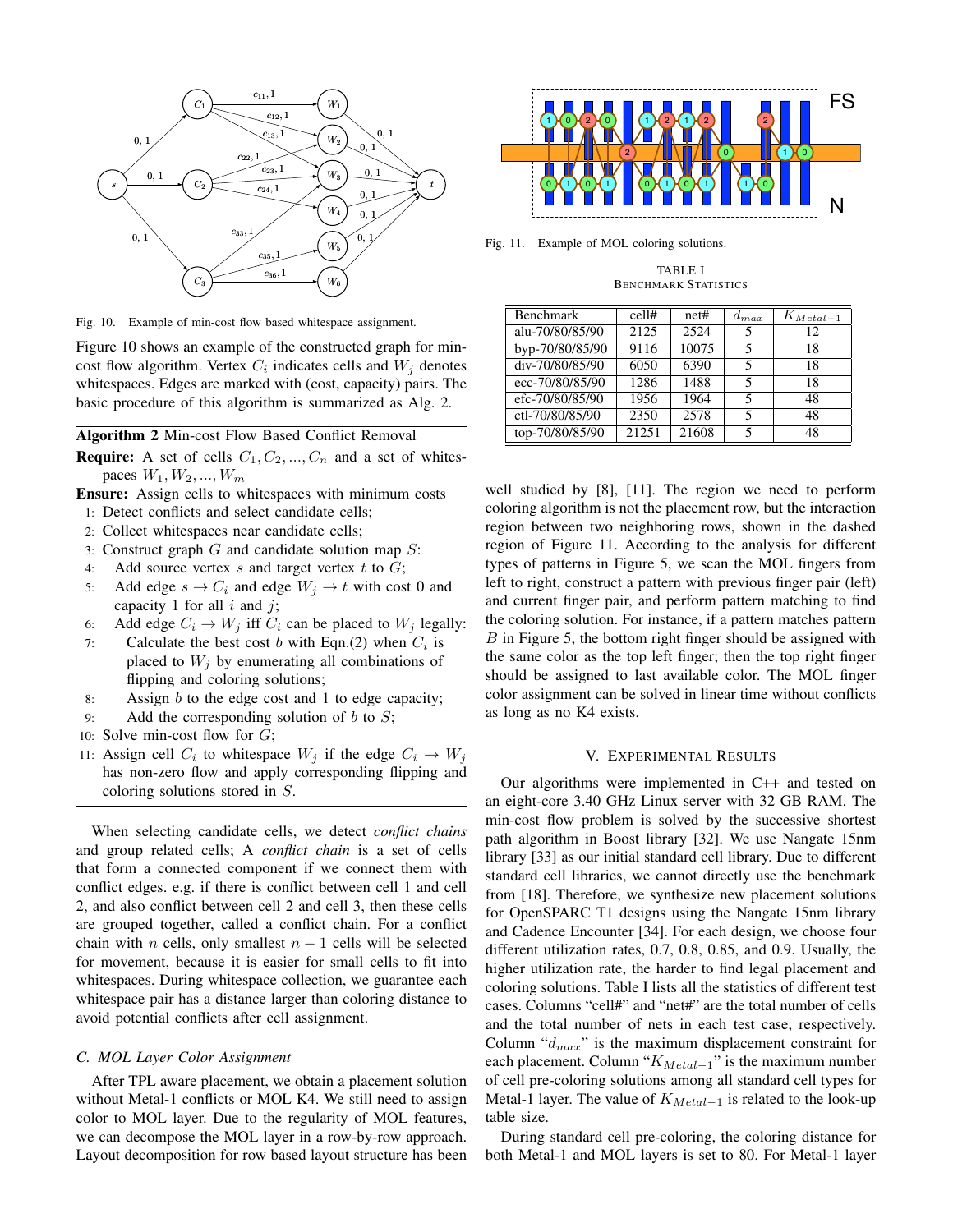

Fig. 10. Example of min-cost flow based whitespace assignment.

Figure 10 shows an example of the constructed graph for mincost flow algorithm. Vertex  $C_i$  indicates cells and  $W_j$  denotes whitespaces. Edges are marked with (cost, capacity) pairs. The basic procedure of this algorithm is summarized as Alg. 2.

# Algorithm 2 Min-cost Flow Based Conflict Removal

**Require:** A set of cells  $C_1, C_2, ..., C_n$  and a set of whitespaces  $W_1, W_2, ..., W_m$ 

Ensure: Assign cells to whitespaces with minimum costs

- 1: Detect conflicts and select candidate cells;
- 2: Collect whitespaces near candidate cells;
- 3: Construct graph  $G$  and candidate solution map  $S$ :
- 4: Add source vertex  $s$  and target vertex  $t$  to  $G$ ;
- 5: Add edge  $s \to C_i$  and edge  $W_j \to t$  with cost 0 and capacity 1 for all  $i$  and  $j$ ;
- 6: Add edge  $C_i \rightarrow W_j$  iff  $C_i$  can be placed to  $W_j$  legally:
- 7: Calculate the best cost b with Eqn.(2) when  $C_i$  is placed to  $W_i$  by enumerating all combinations of flipping and coloring solutions;
- 8: Assign b to the edge cost and 1 to edge capacity;
- 9: Add the corresponding solution of  $b$  to  $S$ ;
- 10: Solve min-cost flow for  $G$ ;
- 11: Assign cell  $C_i$  to whitespace  $W_j$  if the edge  $C_i \rightarrow W_j$ has non-zero flow and apply corresponding flipping and coloring solutions stored in S.

When selecting candidate cells, we detect *conflict chains* and group related cells; A *conflict chain* is a set of cells that form a connected component if we connect them with conflict edges. e.g. if there is conflict between cell 1 and cell 2, and also conflict between cell 2 and cell 3, then these cells are grouped together, called a conflict chain. For a conflict chain with *n* cells, only smallest  $n - 1$  cells will be selected for movement, because it is easier for small cells to fit into whitespaces. During whitespace collection, we guarantee each whitespace pair has a distance larger than coloring distance to avoid potential conflicts after cell assignment.

## *C. MOL Layer Color Assignment*

After TPL aware placement, we obtain a placement solution without Metal-1 conflicts or MOL K4. We still need to assign color to MOL layer. Due to the regularity of MOL features, we can decompose the MOL layer in a row-by-row approach. Layout decomposition for row based layout structure has been



Fig. 11. Example of MOL coloring solutions.

TABLE I BENCHMARK STATISTICS

| Benchmark       | cell# | net#  | $d_{max}$ | $K_{MetaI-1}$ |
|-----------------|-------|-------|-----------|---------------|
| alu-70/80/85/90 | 2125  | 2524  |           | 12            |
| byp-70/80/85/90 | 9116  | 10075 | 5         | 18            |
| div-70/80/85/90 | 6050  | 6390  | 5         | 18            |
| ecc-70/80/85/90 | 1286  | 1488  | 5         | 18            |
| efc-70/80/85/90 | 1956  | 1964  | 5         | 48            |
| ctl-70/80/85/90 | 2350  | 2578  | 5         | 48            |
| top-70/80/85/90 | 21251 | 21608 |           | 48            |

well studied by [8], [11]. The region we need to perform coloring algorithm is not the placement row, but the interaction region between two neighboring rows, shown in the dashed region of Figure 11. According to the analysis for different types of patterns in Figure 5, we scan the MOL fingers from left to right, construct a pattern with previous finger pair (left) and current finger pair, and perform pattern matching to find the coloring solution. For instance, if a pattern matches pattern B in Figure 5, the bottom right finger should be assigned with the same color as the top left finger; then the top right finger should be assigned to last available color. The MOL finger color assignment can be solved in linear time without conflicts as long as no K4 exists.

#### V. EXPERIMENTAL RESULTS

Our algorithms were implemented in C++ and tested on an eight-core 3.40 GHz Linux server with 32 GB RAM. The min-cost flow problem is solved by the successive shortest path algorithm in Boost library [32]. We use Nangate 15nm library [33] as our initial standard cell library. Due to different standard cell libraries, we cannot directly use the benchmark from [18]. Therefore, we synthesize new placement solutions for OpenSPARC T1 designs using the Nangate 15nm library and Cadence Encounter [34]. For each design, we choose four different utilization rates, 0.7, 0.8, 0.85, and 0.9. Usually, the higher utilization rate, the harder to find legal placement and coloring solutions. Table I lists all the statistics of different test cases. Columns "cell#" and "net#" are the total number of cells and the total number of nets in each test case, respectively. Column " $d_{max}$ " is the maximum displacement constraint for each placement. Column " $K_{Media-1}$ " is the maximum number of cell pre-coloring solutions among all standard cell types for Metal-1 layer. The value of  $K_{Meta-1}$  is related to the look-up table size.

During standard cell pre-coloring, the coloring distance for both Metal-1 and MOL layers is set to 80. For Metal-1 layer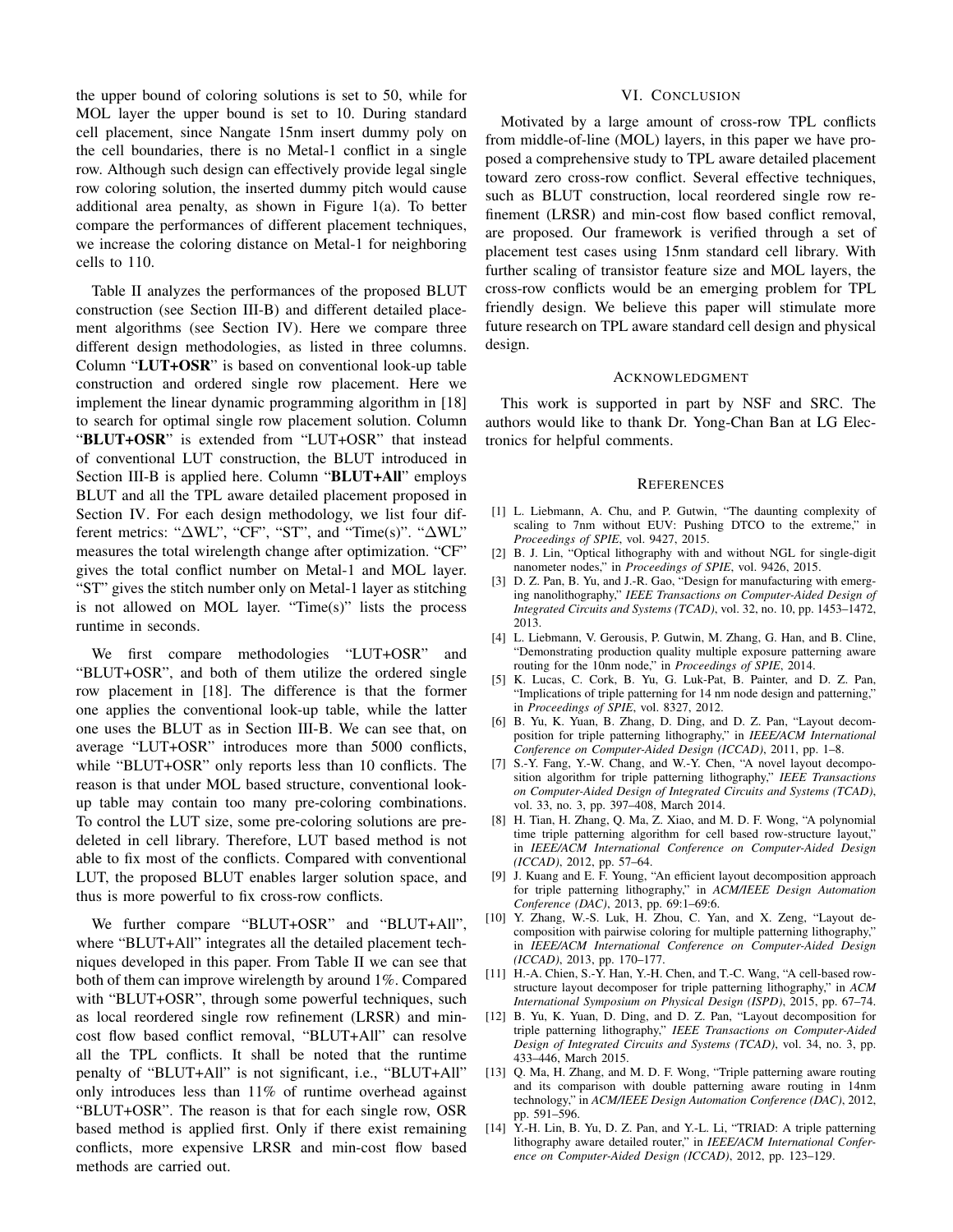the upper bound of coloring solutions is set to 50, while for MOL layer the upper bound is set to 10. During standard cell placement, since Nangate 15nm insert dummy poly on the cell boundaries, there is no Metal-1 conflict in a single row. Although such design can effectively provide legal single row coloring solution, the inserted dummy pitch would cause additional area penalty, as shown in Figure 1(a). To better compare the performances of different placement techniques, we increase the coloring distance on Metal-1 for neighboring cells to 110.

Table II analyzes the performances of the proposed BLUT construction (see Section III-B) and different detailed placement algorithms (see Section IV). Here we compare three different design methodologies, as listed in three columns. Column "LUT+OSR" is based on conventional look-up table construction and ordered single row placement. Here we implement the linear dynamic programming algorithm in [18] to search for optimal single row placement solution. Column "BLUT+OSR" is extended from "LUT+OSR" that instead of conventional LUT construction, the BLUT introduced in Section III-B is applied here. Column "BLUT+All" employs BLUT and all the TPL aware detailed placement proposed in Section IV. For each design methodology, we list four different metrics: "∆WL", "CF", "ST", and "Time(s)". "∆WL" measures the total wirelength change after optimization. "CF" gives the total conflict number on Metal-1 and MOL layer. "ST" gives the stitch number only on Metal-1 layer as stitching is not allowed on MOL layer. "Time(s)" lists the process runtime in seconds.

We first compare methodologies "LUT+OSR" and "BLUT+OSR", and both of them utilize the ordered single row placement in [18]. The difference is that the former one applies the conventional look-up table, while the latter one uses the BLUT as in Section III-B. We can see that, on average "LUT+OSR" introduces more than 5000 conflicts, while "BLUT+OSR" only reports less than 10 conflicts. The reason is that under MOL based structure, conventional lookup table may contain too many pre-coloring combinations. To control the LUT size, some pre-coloring solutions are predeleted in cell library. Therefore, LUT based method is not able to fix most of the conflicts. Compared with conventional LUT, the proposed BLUT enables larger solution space, and thus is more powerful to fix cross-row conflicts.

We further compare "BLUT+OSR" and "BLUT+All", where "BLUT+All" integrates all the detailed placement techniques developed in this paper. From Table II we can see that both of them can improve wirelength by around 1%. Compared with "BLUT+OSR", through some powerful techniques, such as local reordered single row refinement (LRSR) and mincost flow based conflict removal, "BLUT+All" can resolve all the TPL conflicts. It shall be noted that the runtime penalty of "BLUT+All" is not significant, i.e., "BLUT+All" only introduces less than 11% of runtime overhead against "BLUT+OSR". The reason is that for each single row, OSR based method is applied first. Only if there exist remaining conflicts, more expensive LRSR and min-cost flow based methods are carried out.

## VI. CONCLUSION

Motivated by a large amount of cross-row TPL conflicts from middle-of-line (MOL) layers, in this paper we have proposed a comprehensive study to TPL aware detailed placement toward zero cross-row conflict. Several effective techniques, such as BLUT construction, local reordered single row refinement (LRSR) and min-cost flow based conflict removal, are proposed. Our framework is verified through a set of placement test cases using 15nm standard cell library. With further scaling of transistor feature size and MOL layers, the cross-row conflicts would be an emerging problem for TPL friendly design. We believe this paper will stimulate more future research on TPL aware standard cell design and physical design.

#### ACKNOWLEDGMENT

This work is supported in part by NSF and SRC. The authors would like to thank Dr. Yong-Chan Ban at LG Electronics for helpful comments.

#### **REFERENCES**

- [1] L. Liebmann, A. Chu, and P. Gutwin, "The daunting complexity of scaling to 7nm without EUV: Pushing DTCO to the extreme," in *Proceedings of SPIE*, vol. 9427, 2015.
- [2] B. J. Lin, "Optical lithography with and without NGL for single-digit nanometer nodes," in *Proceedings of SPIE*, vol. 9426, 2015.
- [3] D. Z. Pan, B. Yu, and J.-R. Gao, "Design for manufacturing with emerging nanolithography," *IEEE Transactions on Computer-Aided Design of Integrated Circuits and Systems (TCAD)*, vol. 32, no. 10, pp. 1453–1472, 2013.
- [4] L. Liebmann, V. Gerousis, P. Gutwin, M. Zhang, G. Han, and B. Cline, "Demonstrating production quality multiple exposure patterning aware routing for the 10nm node," in *Proceedings of SPIE*, 2014.
- [5] K. Lucas, C. Cork, B. Yu, G. Luk-Pat, B. Painter, and D. Z. Pan, "Implications of triple patterning for 14 nm node design and patterning," in *Proceedings of SPIE*, vol. 8327, 2012.
- [6] B. Yu, K. Yuan, B. Zhang, D. Ding, and D. Z. Pan, "Layout decomposition for triple patterning lithography," in *IEEE/ACM International Conference on Computer-Aided Design (ICCAD)*, 2011, pp. 1–8.
- [7] S.-Y. Fang, Y.-W. Chang, and W.-Y. Chen, "A novel layout decomposition algorithm for triple patterning lithography," *IEEE Transactions on Computer-Aided Design of Integrated Circuits and Systems (TCAD)*, vol. 33, no. 3, pp. 397–408, March 2014.
- [8] H. Tian, H. Zhang, Q. Ma, Z. Xiao, and M. D. F. Wong, "A polynomial time triple patterning algorithm for cell based row-structure layout," in *IEEE/ACM International Conference on Computer-Aided Design (ICCAD)*, 2012, pp. 57–64.
- [9] J. Kuang and E. F. Young, "An efficient layout decomposition approach for triple patterning lithography," in *ACM/IEEE Design Automation Conference (DAC)*, 2013, pp. 69:1–69:6.
- [10] Y. Zhang, W.-S. Luk, H. Zhou, C. Yan, and X. Zeng, "Layout decomposition with pairwise coloring for multiple patterning lithography," in *IEEE/ACM International Conference on Computer-Aided Design (ICCAD)*, 2013, pp. 170–177.
- [11] H.-A. Chien, S.-Y. Han, Y.-H. Chen, and T.-C. Wang, "A cell-based rowstructure layout decomposer for triple patterning lithography," in *ACM International Symposium on Physical Design (ISPD)*, 2015, pp. 67–74.
- [12] B. Yu, K. Yuan, D. Ding, and D. Z. Pan, "Layout decomposition for triple patterning lithography," *IEEE Transactions on Computer-Aided Design of Integrated Circuits and Systems (TCAD)*, vol. 34, no. 3, pp. 433–446, March 2015.
- [13] Q. Ma, H. Zhang, and M. D. F. Wong, "Triple patterning aware routing and its comparison with double patterning aware routing in 14nm technology," in *ACM/IEEE Design Automation Conference (DAC)*, 2012, pp. 591–596.
- [14] Y.-H. Lin, B. Yu, D. Z. Pan, and Y.-L. Li, "TRIAD: A triple patterning lithography aware detailed router," in *IEEE/ACM International Conference on Computer-Aided Design (ICCAD)*, 2012, pp. 123–129.